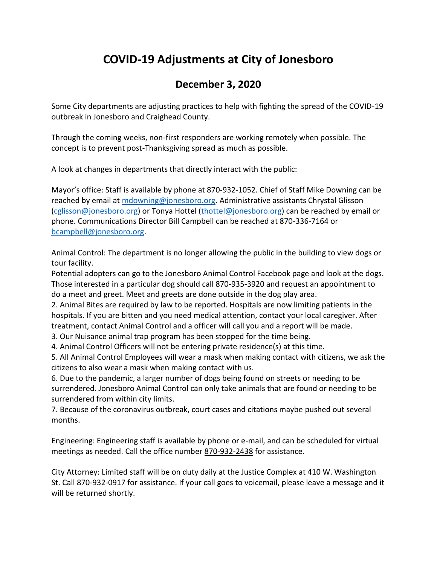## **COVID-19 Adjustments at City of Jonesboro**

## **December 3, 2020**

Some City departments are adjusting practices to help with fighting the spread of the COVID-19 outbreak in Jonesboro and Craighead County.

Through the coming weeks, non-first responders are working remotely when possible. The concept is to prevent post-Thanksgiving spread as much as possible.

A look at changes in departments that directly interact with the public:

Mayor's office: Staff is available by phone at 870-932-1052. Chief of Staff Mike Downing can be reached by email a[t mdowning@jonesboro.org.](mailto:mdowning@jonesboro.org) Administrative assistants Chrystal Glisson [\(cglisson@jonesboro.org\)](mailto:cglisson@jonesboro.org) or Tonya Hottel [\(thottel@jonesboro.org\)](mailto:thottel@jonesboro.org) can be reached by email or phone. Communications Director Bill Campbell can be reached at 870-336-7164 or [bcampbell@jonesboro.org.](mailto:bcampbell@jonesboro.org)

Animal Control: The department is no longer allowing the public in the building to view dogs or tour facility.

Potential adopters can go to the Jonesboro Animal Control Facebook page and look at the dogs. Those interested in a particular dog should call 870-935-3920 and request an appointment to do a meet and greet. Meet and greets are done outside in the dog play area.

2. Animal Bites are required by law to be reported. Hospitals are now limiting patients in the hospitals. If you are bitten and you need medical attention, contact your local caregiver. After treatment, contact Animal Control and a officer will call you and a report will be made.

3. Our Nuisance animal trap program has been stopped for the time being.

4. Animal Control Officers will not be entering private residence(s) at this time.

5. All Animal Control Employees will wear a mask when making contact with citizens, we ask the citizens to also wear a mask when making contact with us.

6. Due to the pandemic, a larger number of dogs being found on streets or needing to be surrendered. Jonesboro Animal Control can only take animals that are found or needing to be surrendered from within city limits.

7. Because of the coronavirus outbreak, court cases and citations maybe pushed out several months.

Engineering: Engineering staff is available by phone or e-mail, and can be scheduled for virtual meetings as needed. Call the office number 870-932-2438 for assistance.

City Attorney: Limited staff will be on duty daily at the Justice Complex at 410 W. Washington St. Call 870-932-0917 for assistance. If your call goes to voicemail, please leave a message and it will be returned shortly.